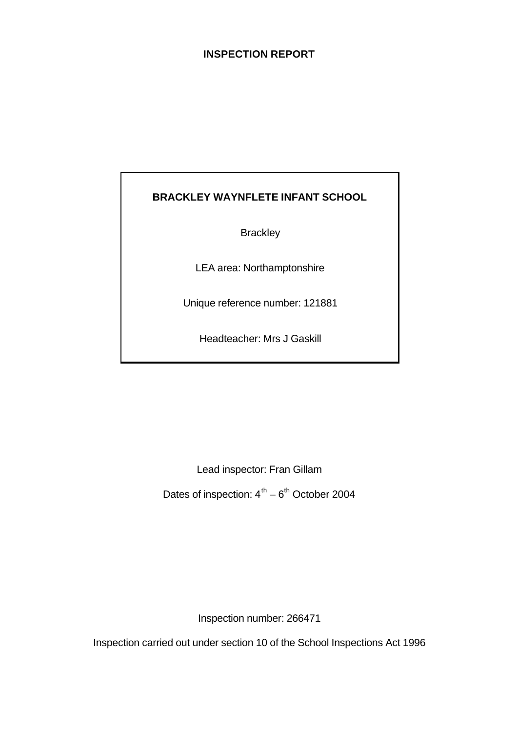## **INSPECTION REPORT**

## **BRACKLEY WAYNFLETE INFANT SCHOOL**

**Brackley** 

LEA area: Northamptonshire

Unique reference number: 121881

Headteacher: Mrs J Gaskill

Lead inspector: Fran Gillam

Dates of inspection:  $4^{\text{th}} - 6^{\text{th}}$  October 2004

Inspection number: 266471

Inspection carried out under section 10 of the School Inspections Act 1996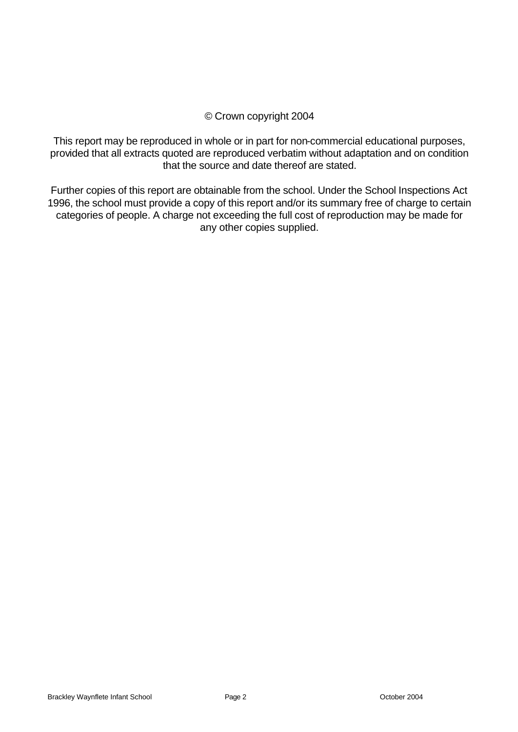## © Crown copyright 2004

This report may be reproduced in whole or in part for non-commercial educational purposes, provided that all extracts quoted are reproduced verbatim without adaptation and on condition that the source and date thereof are stated.

Further copies of this report are obtainable from the school. Under the School Inspections Act 1996, the school must provide a copy of this report and/or its summary free of charge to certain categories of people. A charge not exceeding the full cost of reproduction may be made for any other copies supplied.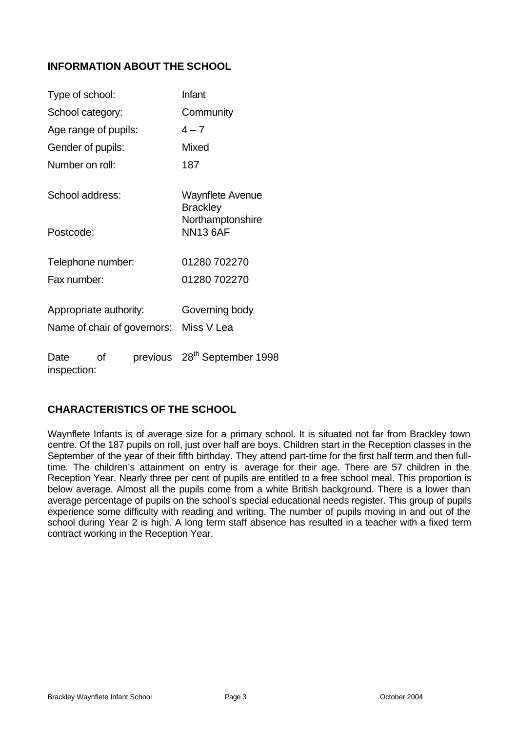## **INFORMATION ABOUT THE SCHOOL**

| Type of school:        |    |                             | Infant                                     |  |  |
|------------------------|----|-----------------------------|--------------------------------------------|--|--|
| School category:       |    |                             | Community                                  |  |  |
| Age range of pupils:   |    |                             | $4 - 7$                                    |  |  |
| Gender of pupils:      |    |                             | Mixed                                      |  |  |
| Number on roll:        |    |                             | 187                                        |  |  |
| School address:        |    |                             | <b>Waynflete Avenue</b><br><b>Brackley</b> |  |  |
| Postcode:              |    |                             | Northamptonshire<br><b>NN13 6AF</b>        |  |  |
| Telephone number:      |    |                             | 01280 702270                               |  |  |
| Fax number:            |    |                             | 01280 702270                               |  |  |
| Appropriate authority: |    |                             | Governing body                             |  |  |
|                        |    | Name of chair of governors: | Miss V Lea                                 |  |  |
| Date<br>inspection:    | οf |                             | previous 28 <sup>th</sup> September 1998   |  |  |

## **CHARACTERISTICS OF THE SCHOOL**

Waynflete Infants is of average size for a primary school. It is situated not far from Brackley town centre. Of the 187 pupils on roll, just over half are boys. Children start in the Reception classes in the September of the year of their fifth birthday. They attend part-time for the first half term and then fulltime. The children's attainment on entry is average for their age. There are 57 children in the Reception Year. Nearly three per cent of pupils are entitled to a free school meal. This proportion is below average. Almost all the pupils come from a white British background. There is a lower than average percentage of pupils on the school's special educational needs register. This group of pupils experience some difficulty with reading and writing. The number of pupils moving in and out of the school during Year 2 is high. A long term staff absence has resulted in a teacher with a fixed term contract working in the Reception Year.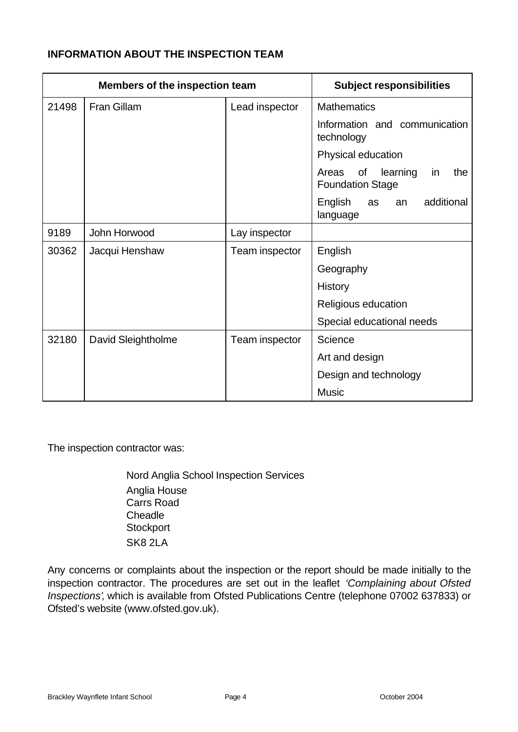## **INFORMATION ABOUT THE INSPECTION TEAM**

| <b>Members of the inspection team</b> |                    | <b>Subject responsibilities</b> |                                                                 |
|---------------------------------------|--------------------|---------------------------------|-----------------------------------------------------------------|
| 21498                                 | Fran Gillam        | Lead inspector                  | <b>Mathematics</b>                                              |
|                                       |                    |                                 | Information and communication<br>technology                     |
|                                       |                    |                                 | Physical education                                              |
|                                       |                    |                                 | of<br>learning<br>Areas<br>the<br>in<br><b>Foundation Stage</b> |
|                                       |                    |                                 | English<br>additional<br>as<br>an<br>language                   |
| 9189                                  | John Horwood       | Lay inspector                   |                                                                 |
| 30362                                 | Jacqui Henshaw     | Team inspector                  | English                                                         |
|                                       |                    |                                 | Geography                                                       |
|                                       |                    |                                 | <b>History</b>                                                  |
|                                       |                    |                                 | Religious education                                             |
|                                       |                    |                                 | Special educational needs                                       |
| 32180                                 | David Sleightholme | Team inspector                  | Science                                                         |
|                                       |                    |                                 | Art and design                                                  |
|                                       |                    |                                 | Design and technology                                           |
|                                       |                    |                                 | <b>Music</b>                                                    |

The inspection contractor was:

Nord Anglia School Inspection Services Anglia House Carrs Road **Cheadle Stockport** SK8 2LA

Any concerns or complaints about the inspection or the report should be made initially to the inspection contractor. The procedures are set out in the leaflet *'Complaining about Ofsted Inspections'*, which is available from Ofsted Publications Centre (telephone 07002 637833) or Ofsted's website (www.ofsted.gov.uk).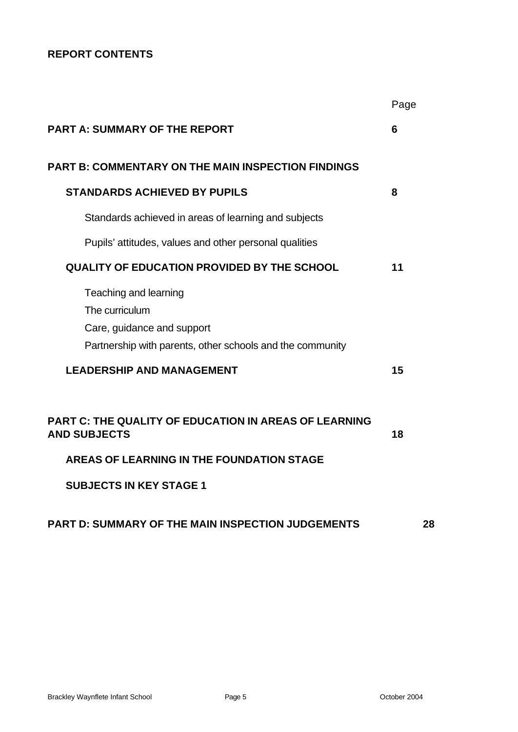## **REPORT CONTENTS**

|                                                                                                                                    | Page |
|------------------------------------------------------------------------------------------------------------------------------------|------|
| <b>PART A: SUMMARY OF THE REPORT</b>                                                                                               | 6    |
| <b>PART B: COMMENTARY ON THE MAIN INSPECTION FINDINGS</b>                                                                          |      |
| <b>STANDARDS ACHIEVED BY PUPILS</b>                                                                                                | 8    |
| Standards achieved in areas of learning and subjects                                                                               |      |
| Pupils' attitudes, values and other personal qualities                                                                             |      |
| <b>QUALITY OF EDUCATION PROVIDED BY THE SCHOOL</b>                                                                                 | 11   |
| Teaching and learning<br>The curriculum<br>Care, guidance and support<br>Partnership with parents, other schools and the community |      |
| <b>LEADERSHIP AND MANAGEMENT</b>                                                                                                   | 15   |
| PART C: THE QUALITY OF EDUCATION IN AREAS OF LEARNING<br><b>AND SUBJECTS</b>                                                       | 18   |
| AREAS OF LEARNING IN THE FOUNDATION STAGE                                                                                          |      |
| <b>SUBJECTS IN KEY STAGE 1</b>                                                                                                     |      |
| <b>PART D: SUMMARY OF THE MAIN INSPECTION JUDGEMENTS</b>                                                                           | 28   |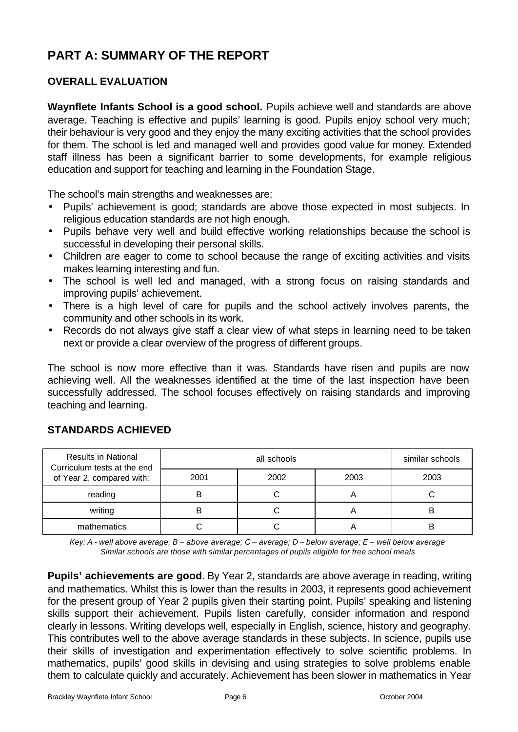# **PART A: SUMMARY OF THE REPORT**

## **OVERALL EVALUATION**

**Waynflete Infants School is a good school.** Pupils achieve well and standards are above average. Teaching is effective and pupils' learning is good. Pupils enjoy school very much; their behaviour is very good and they enjoy the many exciting activities that the school provides for them. The school is led and managed well and provides good value for money. Extended staff illness has been a significant barrier to some developments, for example religious education and support for teaching and learning in the Foundation Stage.

The school's main strengths and weaknesses are:

- Pupils' achievement is good; standards are above those expected in most subjects. In religious education standards are not high enough.
- Pupils behave very well and build effective working relationships because the school is successful in developing their personal skills.
- Children are eager to come to school because the range of exciting activities and visits makes learning interesting and fun.
- The school is well led and managed, with a strong focus on raising standards and improving pupils' achievement.
- There is a high level of care for pupils and the school actively involves parents, the community and other schools in its work.
- Records do not always give staff a clear view of what steps in learning need to be taken next or provide a clear overview of the progress of different groups.

The school is now more effective than it was. Standards have risen and pupils are now achieving well. All the weaknesses identified at the time of the last inspection have been successfully addressed. The school focuses effectively on raising standards and improving teaching and learning.

| <b>Results in National</b><br>Curriculum tests at the end |      | similar schools |      |      |
|-----------------------------------------------------------|------|-----------------|------|------|
| of Year 2, compared with:                                 | 2001 | 2002            | 2003 | 2003 |
| reading                                                   |      |                 | r    |      |
| writing                                                   |      |                 |      | В    |
| mathematics                                               |      |                 |      |      |

## **STANDARDS ACHIEVED**

*Key: A - well above average; B – above average; C – average; D – below average; E – well below average Similar schools are those with similar percentages of pupils eligible for free school meals*

**Pupils' achievements are good**. By Year 2, standards are above average in reading, writing and mathematics. Whilst this is lower than the results in 2003, it represents good achievement for the present group of Year 2 pupils given their starting point. Pupils' speaking and listening skills support their achievement. Pupils listen carefully, consider information and respond clearly in lessons. Writing develops well, especially in English, science, history and geography. This contributes well to the above average standards in these subjects. In science, pupils use their skills of investigation and experimentation effectively to solve scientific problems. In mathematics, pupils' good skills in devising and using strategies to solve problems enable them to calculate quickly and accurately. Achievement has been slower in mathematics in Year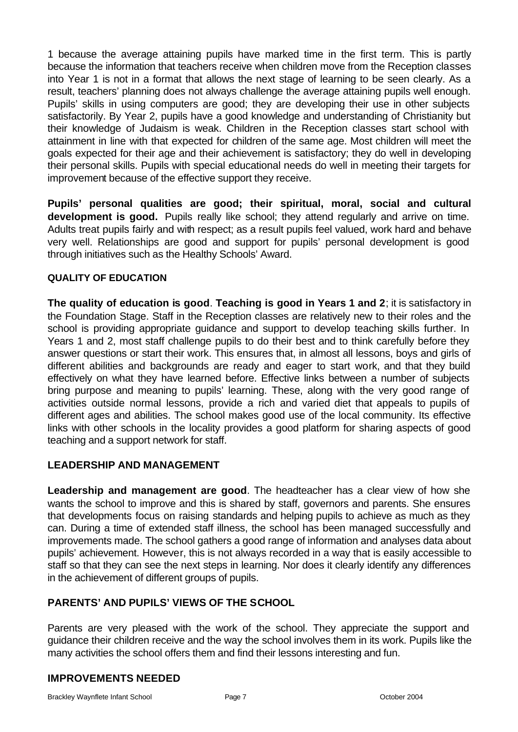1 because the average attaining pupils have marked time in the first term. This is partly because the information that teachers receive when children move from the Reception classes into Year 1 is not in a format that allows the next stage of learning to be seen clearly. As a result, teachers' planning does not always challenge the average attaining pupils well enough. Pupils' skills in using computers are good; they are developing their use in other subjects satisfactorily. By Year 2, pupils have a good knowledge and understanding of Christianity but their knowledge of Judaism is weak. Children in the Reception classes start school with attainment in line with that expected for children of the same age. Most children will meet the goals expected for their age and their achievement is satisfactory; they do well in developing their personal skills. Pupils with special educational needs do well in meeting their targets for improvement because of the effective support they receive.

**Pupils' personal qualities are good; their spiritual, moral, social and cultural development is good.** Pupils really like school; they attend regularly and arrive on time. Adults treat pupils fairly and with respect; as a result pupils feel valued, work hard and behave very well. Relationships are good and support for pupils' personal development is good through initiatives such as the Healthy Schools' Award.

## **QUALITY OF EDUCATION**

**The quality of education is good**. **Teaching is good in Years 1 and 2**; it is satisfactory in the Foundation Stage. Staff in the Reception classes are relatively new to their roles and the school is providing appropriate guidance and support to develop teaching skills further. In Years 1 and 2, most staff challenge pupils to do their best and to think carefully before they answer questions or start their work. This ensures that, in almost all lessons, boys and girls of different abilities and backgrounds are ready and eager to start work, and that they build effectively on what they have learned before. Effective links between a number of subjects bring purpose and meaning to pupils' learning. These, along with the very good range of activities outside normal lessons, provide a rich and varied diet that appeals to pupils of different ages and abilities. The school makes good use of the local community. Its effective links with other schools in the locality provides a good platform for sharing aspects of good teaching and a support network for staff.

## **LEADERSHIP AND MANAGEMENT**

**Leadership and management are good**. The headteacher has a clear view of how she wants the school to improve and this is shared by staff, governors and parents. She ensures that developments focus on raising standards and helping pupils to achieve as much as they can. During a time of extended staff illness, the school has been managed successfully and improvements made. The school gathers a good range of information and analyses data about pupils' achievement. However, this is not always recorded in a way that is easily accessible to staff so that they can see the next steps in learning. Nor does it clearly identify any differences in the achievement of different groups of pupils.

## **PARENTS' AND PUPILS' VIEWS OF THE SCHOOL**

Parents are very pleased with the work of the school. They appreciate the support and guidance their children receive and the way the school involves them in its work. Pupils like the many activities the school offers them and find their lessons interesting and fun.

## **IMPROVEMENTS NEEDED**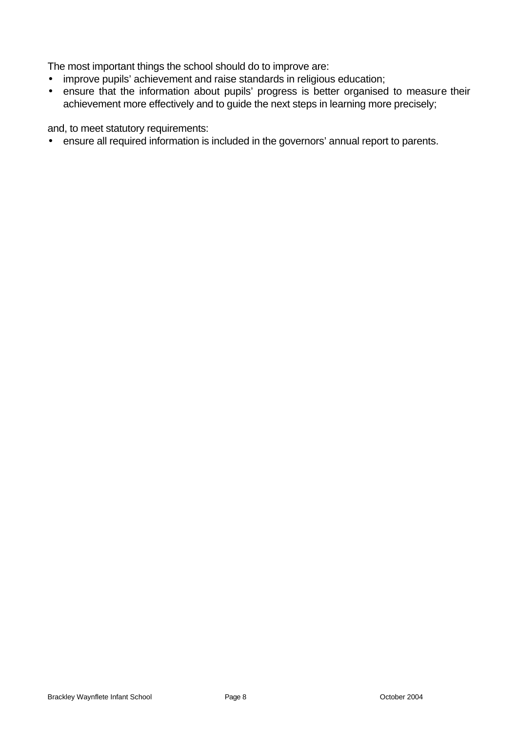The most important things the school should do to improve are:

- improve pupils' achievement and raise standards in religious education;
- ensure that the information about pupils' progress is better organised to measure their achievement more effectively and to guide the next steps in learning more precisely;

and, to meet statutory requirements:

• ensure all required information is included in the governors' annual report to parents.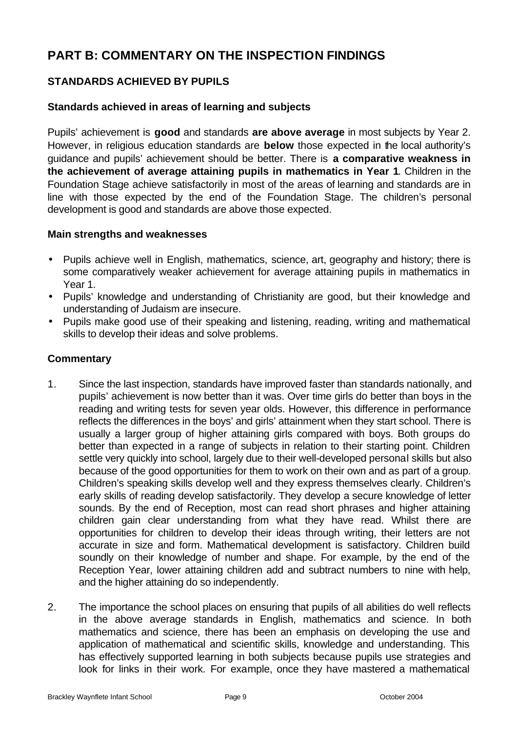# **PART B: COMMENTARY ON THE INSPECTION FINDINGS**

## **STANDARDS ACHIEVED BY PUPILS**

## **Standards achieved in areas of learning and subjects**

Pupils' achievement is **good** and standards **are above average** in most subjects by Year 2. However, in religious education standards are **below** those expected in the local authority's guidance and pupils' achievement should be better. There is **a comparative weakness in the achievement of average attaining pupils in mathematics in Year 1**. Children in the Foundation Stage achieve satisfactorily in most of the areas of learning and standards are in line with those expected by the end of the Foundation Stage. The children's personal development is good and standards are above those expected.

#### **Main strengths and weaknesses**

- Pupils achieve well in English, mathematics, science, art, geography and history; there is some comparatively weaker achievement for average attaining pupils in mathematics in Year 1.
- Pupils' knowledge and understanding of Christianity are good, but their knowledge and understanding of Judaism are insecure.
- Pupils make good use of their speaking and listening, reading, writing and mathematical skills to develop their ideas and solve problems.

## **Commentary**

- 1. Since the last inspection, standards have improved faster than standards nationally, and pupils' achievement is now better than it was. Over time girls do better than boys in the reading and writing tests for seven year olds. However, this difference in performance reflects the differences in the boys' and girls' attainment when they start school. There is usually a larger group of higher attaining girls compared with boys. Both groups do better than expected in a range of subjects in relation to their starting point. Children settle very quickly into school, largely due to their well-developed personal skills but also because of the good opportunities for them to work on their own and as part of a group. Children's speaking skills develop well and they express themselves clearly. Children's early skills of reading develop satisfactorily. They develop a secure knowledge of letter sounds. By the end of Reception, most can read short phrases and higher attaining children gain clear understanding from what they have read. Whilst there are opportunities for children to develop their ideas through writing, their letters are not accurate in size and form. Mathematical development is satisfactory. Children build soundly on their knowledge of number and shape. For example, by the end of the Reception Year, lower attaining children add and subtract numbers to nine with help, and the higher attaining do so independently.
- 2. The importance the school places on ensuring that pupils of all abilities do well reflects in the above average standards in English, mathematics and science. In both mathematics and science, there has been an emphasis on developing the use and application of mathematical and scientific skills, knowledge and understanding. This has effectively supported learning in both subjects because pupils use strategies and look for links in their work. For example, once they have mastered a mathematical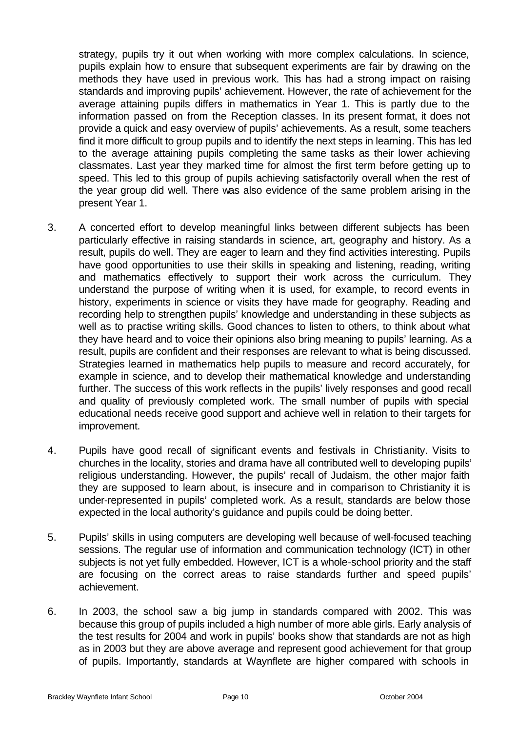strategy, pupils try it out when working with more complex calculations. In science, pupils explain how to ensure that subsequent experiments are fair by drawing on the methods they have used in previous work. This has had a strong impact on raising standards and improving pupils' achievement. However, the rate of achievement for the average attaining pupils differs in mathematics in Year 1. This is partly due to the information passed on from the Reception classes. In its present format, it does not provide a quick and easy overview of pupils' achievements. As a result, some teachers find it more difficult to group pupils and to identify the next steps in learning. This has led to the average attaining pupils completing the same tasks as their lower achieving classmates. Last year they marked time for almost the first term before getting up to speed. This led to this group of pupils achieving satisfactorily overall when the rest of the year group did well. There was also evidence of the same problem arising in the present Year 1.

- 3. A concerted effort to develop meaningful links between different subjects has been particularly effective in raising standards in science, art, geography and history. As a result, pupils do well. They are eager to learn and they find activities interesting. Pupils have good opportunities to use their skills in speaking and listening, reading, writing and mathematics effectively to support their work across the curriculum. They understand the purpose of writing when it is used, for example, to record events in history, experiments in science or visits they have made for geography. Reading and recording help to strengthen pupils' knowledge and understanding in these subjects as well as to practise writing skills. Good chances to listen to others, to think about what they have heard and to voice their opinions also bring meaning to pupils' learning. As a result, pupils are confident and their responses are relevant to what is being discussed. Strategies learned in mathematics help pupils to measure and record accurately, for example in science, and to develop their mathematical knowledge and understanding further. The success of this work reflects in the pupils' lively responses and good recall and quality of previously completed work. The small number of pupils with special educational needs receive good support and achieve well in relation to their targets for improvement.
- 4. Pupils have good recall of significant events and festivals in Christianity. Visits to churches in the locality, stories and drama have all contributed well to developing pupils' religious understanding. However, the pupils' recall of Judaism, the other major faith they are supposed to learn about, is insecure and in comparison to Christianity it is under-represented in pupils' completed work. As a result, standards are below those expected in the local authority's guidance and pupils could be doing better.
- 5. Pupils' skills in using computers are developing well because of well-focused teaching sessions. The regular use of information and communication technology (ICT) in other subjects is not yet fully embedded. However, ICT is a whole-school priority and the staff are focusing on the correct areas to raise standards further and speed pupils' achievement.
- 6. In 2003, the school saw a big jump in standards compared with 2002. This was because this group of pupils included a high number of more able girls. Early analysis of the test results for 2004 and work in pupils' books show that standards are not as high as in 2003 but they are above average and represent good achievement for that group of pupils. Importantly, standards at Waynflete are higher compared with schools in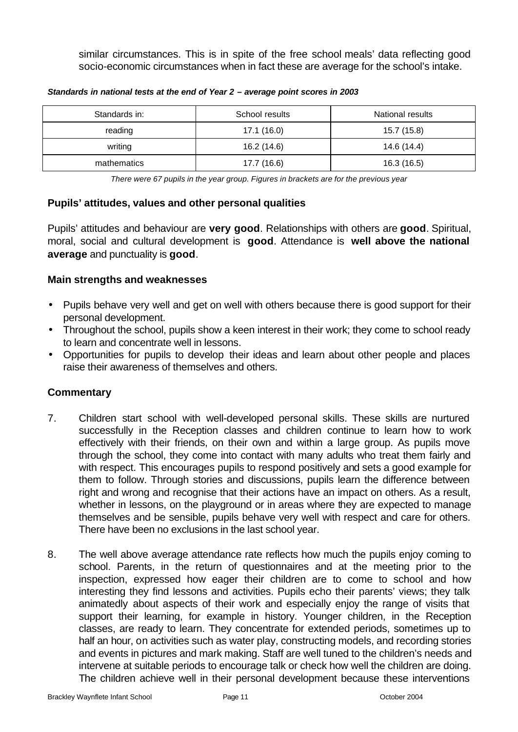similar circumstances. This is in spite of the free school meals' data reflecting good socio-economic circumstances when in fact these are average for the school's intake.

| Standards in: | School results | National results |
|---------------|----------------|------------------|
| reading       | 17.1(16.0)     | 15.7 (15.8)      |
| writing       | 16.2 (14.6)    | 14.6 (14.4)      |
| mathematics   | 17.7 (16.6)    | 16.3 (16.5)      |

*Standards in national tests at the end of Year 2 – average point scores in 2003*

*There were 67 pupils in the year group. Figures in brackets are for the previous year* 

## **Pupils' attitudes, values and other personal qualities**

Pupils' attitudes and behaviour are **very good**. Relationships with others are **good**. Spiritual, moral, social and cultural development is **good**. Attendance is **well above the national average** and punctuality is **good**.

## **Main strengths and weaknesses**

- Pupils behave very well and get on well with others because there is good support for their personal development.
- Throughout the school, pupils show a keen interest in their work; they come to school ready to learn and concentrate well in lessons.
- Opportunities for pupils to develop their ideas and learn about other people and places raise their awareness of themselves and others.

## **Commentary**

- 7. Children start school with well-developed personal skills. These skills are nurtured successfully in the Reception classes and children continue to learn how to work effectively with their friends, on their own and within a large group. As pupils move through the school, they come into contact with many adults who treat them fairly and with respect. This encourages pupils to respond positively and sets a good example for them to follow. Through stories and discussions, pupils learn the difference between right and wrong and recognise that their actions have an impact on others. As a result, whether in lessons, on the playground or in areas where they are expected to manage themselves and be sensible, pupils behave very well with respect and care for others. There have been no exclusions in the last school year.
- 8. The well above average attendance rate reflects how much the pupils enjoy coming to school. Parents, in the return of questionnaires and at the meeting prior to the inspection, expressed how eager their children are to come to school and how interesting they find lessons and activities. Pupils echo their parents' views; they talk animatedly about aspects of their work and especially enjoy the range of visits that support their learning, for example in history. Younger children, in the Reception classes, are ready to learn. They concentrate for extended periods, sometimes up to half an hour, on activities such as water play, constructing models, and recording stories and events in pictures and mark making. Staff are well tuned to the children's needs and intervene at suitable periods to encourage talk or check how well the children are doing. The children achieve well in their personal development because these interventions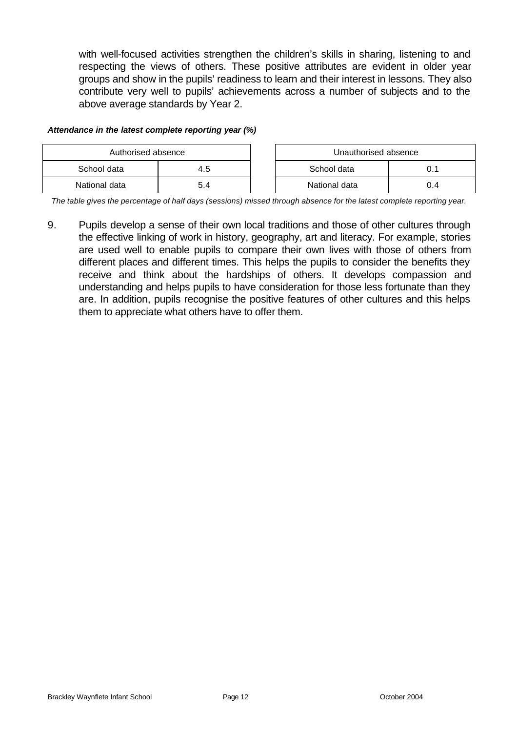with well-focused activities strengthen the children's skills in sharing, listening to and respecting the views of others. These positive attributes are evident in older year groups and show in the pupils' readiness to learn and their interest in lessons. They also contribute very well to pupils' achievements across a number of subjects and to the above average standards by Year 2.

#### *Attendance in the latest complete reporting year (%)*

| Authorised absence |     |  | Unauthorised absence |      |
|--------------------|-----|--|----------------------|------|
| School data        | 4.5 |  | School data          |      |
| National data      | 5.4 |  | National data        | () 4 |

*The table gives the percentage of half days (sessions) missed through absence for the latest complete reporting year.*

9. Pupils develop a sense of their own local traditions and those of other cultures through the effective linking of work in history, geography, art and literacy. For example, stories are used well to enable pupils to compare their own lives with those of others from different places and different times. This helps the pupils to consider the benefits they receive and think about the hardships of others. It develops compassion and understanding and helps pupils to have consideration for those less fortunate than they are. In addition, pupils recognise the positive features of other cultures and this helps them to appreciate what others have to offer them.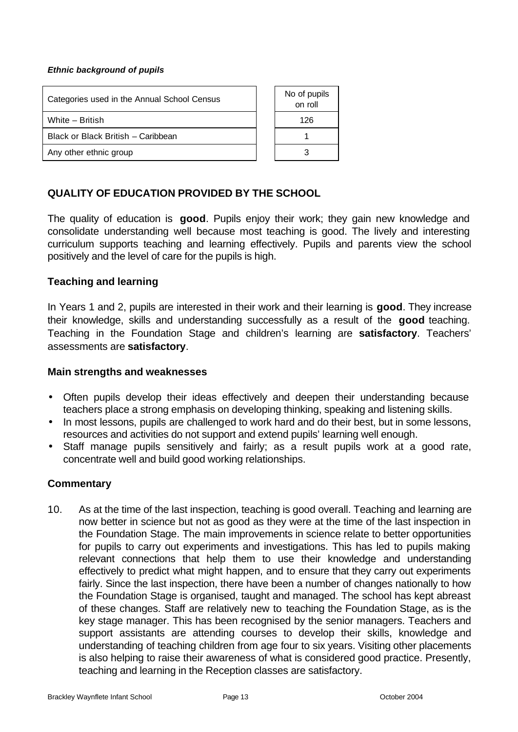#### *Ethnic background of pupils*

| Categories used in the Annual School Census | No of pupils<br>on roll |
|---------------------------------------------|-------------------------|
| White - British                             | 126                     |
| Black or Black British - Caribbean          |                         |
| Any other ethnic group                      |                         |

## **QUALITY OF EDUCATION PROVIDED BY THE SCHOOL**

The quality of education is **good**. Pupils enjoy their work; they gain new knowledge and consolidate understanding well because most teaching is good. The lively and interesting curriculum supports teaching and learning effectively. Pupils and parents view the school positively and the level of care for the pupils is high.

#### **Teaching and learning**

In Years 1 and 2, pupils are interested in their work and their learning is **good**. They increase their knowledge, skills and understanding successfully as a result of the **good** teaching. Teaching in the Foundation Stage and children's learning are **satisfactory**. Teachers' assessments are **satisfactory**.

#### **Main strengths and weaknesses**

- Often pupils develop their ideas effectively and deepen their understanding because teachers place a strong emphasis on developing thinking, speaking and listening skills.
- In most lessons, pupils are challenged to work hard and do their best, but in some lessons, resources and activities do not support and extend pupils' learning well enough.
- Staff manage pupils sensitively and fairly; as a result pupils work at a good rate, concentrate well and build good working relationships.

## **Commentary**

10. As at the time of the last inspection, teaching is good overall. Teaching and learning are now better in science but not as good as they were at the time of the last inspection in the Foundation Stage. The main improvements in science relate to better opportunities for pupils to carry out experiments and investigations. This has led to pupils making relevant connections that help them to use their knowledge and understanding effectively to predict what might happen, and to ensure that they carry out experiments fairly. Since the last inspection, there have been a number of changes nationally to how the Foundation Stage is organised, taught and managed. The school has kept abreast of these changes. Staff are relatively new to teaching the Foundation Stage, as is the key stage manager. This has been recognised by the senior managers. Teachers and support assistants are attending courses to develop their skills, knowledge and understanding of teaching children from age four to six years. Visiting other placements is also helping to raise their awareness of what is considered good practice. Presently, teaching and learning in the Reception classes are satisfactory.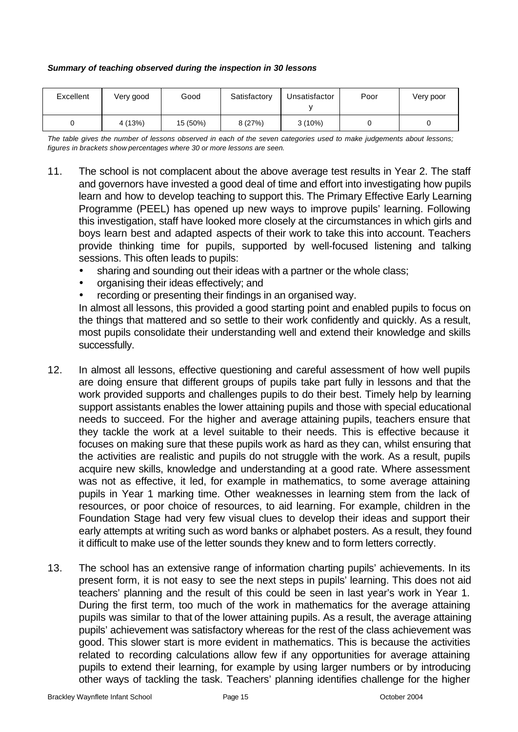| Summary of teaching observed during the inspection in 30 lessons |  |  |  |  |  |
|------------------------------------------------------------------|--|--|--|--|--|
|------------------------------------------------------------------|--|--|--|--|--|

| Excellent | Very good | Good     | Satisfactory | Unsatisfactor | Poor | Very poor |
|-----------|-----------|----------|--------------|---------------|------|-----------|
|           | 4 (13%)   | 15 (50%) | 8 (27%)      | $3(10\%)$     |      |           |

*The table gives the number of lessons observed in each of the seven categories used to make judgements about lessons; figures in brackets show percentages where 30 or more lessons are seen.*

- 11. The school is not complacent about the above average test results in Year 2. The staff and governors have invested a good deal of time and effort into investigating how pupils learn and how to develop teaching to support this. The Primary Effective Early Learning Programme (PEEL) has opened up new ways to improve pupils' learning. Following this investigation, staff have looked more closely at the circumstances in which girls and boys learn best and adapted aspects of their work to take this into account. Teachers provide thinking time for pupils, supported by well-focused listening and talking sessions. This often leads to pupils:
	- sharing and sounding out their ideas with a partner or the whole class;
	- organising their ideas effectively; and
	- recording or presenting their findings in an organised way.

In almost all lessons, this provided a good starting point and enabled pupils to focus on the things that mattered and so settle to their work confidently and quickly. As a result, most pupils consolidate their understanding well and extend their knowledge and skills successfully.

- 12. In almost all lessons, effective questioning and careful assessment of how well pupils are doing ensure that different groups of pupils take part fully in lessons and that the work provided supports and challenges pupils to do their best. Timely help by learning support assistants enables the lower attaining pupils and those with special educational needs to succeed. For the higher and average attaining pupils, teachers ensure that they tackle the work at a level suitable to their needs. This is effective because it focuses on making sure that these pupils work as hard as they can, whilst ensuring that the activities are realistic and pupils do not struggle with the work. As a result, pupils acquire new skills, knowledge and understanding at a good rate. Where assessment was not as effective, it led, for example in mathematics, to some average attaining pupils in Year 1 marking time. Other weaknesses in learning stem from the lack of resources, or poor choice of resources, to aid learning. For example, children in the Foundation Stage had very few visual clues to develop their ideas and support their early attempts at writing such as word banks or alphabet posters. As a result, they found it difficult to make use of the letter sounds they knew and to form letters correctly.
- 13. The school has an extensive range of information charting pupils' achievements. In its present form, it is not easy to see the next steps in pupils' learning. This does not aid teachers' planning and the result of this could be seen in last year's work in Year 1. During the first term, too much of the work in mathematics for the average attaining pupils was similar to that of the lower attaining pupils. As a result, the average attaining pupils' achievement was satisfactory whereas for the rest of the class achievement was good. This slower start is more evident in mathematics. This is because the activities related to recording calculations allow few if any opportunities for average attaining pupils to extend their learning, for example by using larger numbers or by introducing other ways of tackling the task. Teachers' planning identifies challenge for the higher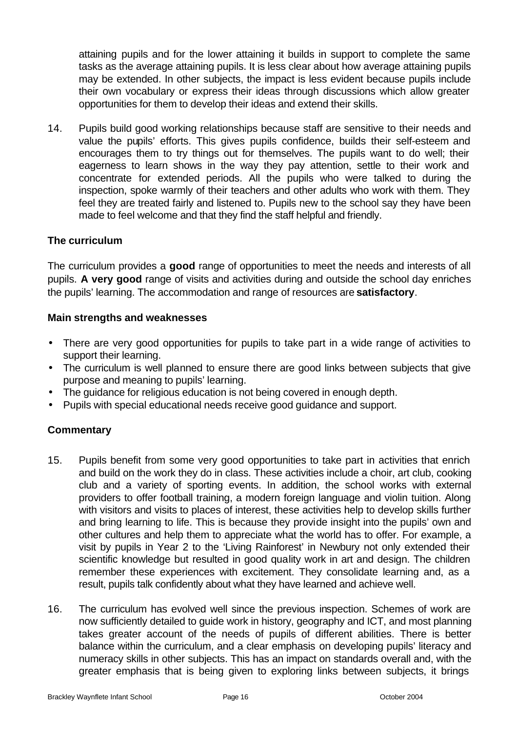attaining pupils and for the lower attaining it builds in support to complete the same tasks as the average attaining pupils. It is less clear about how average attaining pupils may be extended. In other subjects, the impact is less evident because pupils include their own vocabulary or express their ideas through discussions which allow greater opportunities for them to develop their ideas and extend their skills.

14. Pupils build good working relationships because staff are sensitive to their needs and value the pupils' efforts. This gives pupils confidence, builds their self-esteem and encourages them to try things out for themselves. The pupils want to do well; their eagerness to learn shows in the way they pay attention, settle to their work and concentrate for extended periods. All the pupils who were talked to during the inspection, spoke warmly of their teachers and other adults who work with them. They feel they are treated fairly and listened to. Pupils new to the school say they have been made to feel welcome and that they find the staff helpful and friendly.

## **The curriculum**

The curriculum provides a **good** range of opportunities to meet the needs and interests of all pupils. **A very good** range of visits and activities during and outside the school day enriches the pupils' learning. The accommodation and range of resources are **satisfactory**.

## **Main strengths and weaknesses**

- There are very good opportunities for pupils to take part in a wide range of activities to support their learning.
- The curriculum is well planned to ensure there are good links between subjects that give purpose and meaning to pupils' learning.
- The guidance for religious education is not being covered in enough depth.
- Pupils with special educational needs receive good guidance and support.

## **Commentary**

- 15. Pupils benefit from some very good opportunities to take part in activities that enrich and build on the work they do in class. These activities include a choir, art club, cooking club and a variety of sporting events. In addition, the school works with external providers to offer football training, a modern foreign language and violin tuition. Along with visitors and visits to places of interest, these activities help to develop skills further and bring learning to life. This is because they provide insight into the pupils' own and other cultures and help them to appreciate what the world has to offer. For example, a visit by pupils in Year 2 to the 'Living Rainforest' in Newbury not only extended their scientific knowledge but resulted in good quality work in art and design. The children remember these experiences with excitement. They consolidate learning and, as a result, pupils talk confidently about what they have learned and achieve well.
- 16. The curriculum has evolved well since the previous inspection. Schemes of work are now sufficiently detailed to guide work in history, geography and ICT, and most planning takes greater account of the needs of pupils of different abilities. There is better balance within the curriculum, and a clear emphasis on developing pupils' literacy and numeracy skills in other subjects. This has an impact on standards overall and, with the greater emphasis that is being given to exploring links between subjects, it brings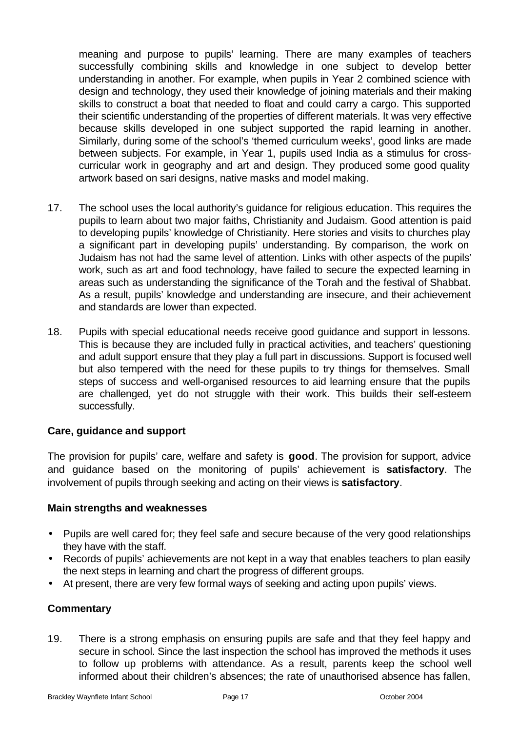meaning and purpose to pupils' learning. There are many examples of teachers successfully combining skills and knowledge in one subject to develop better understanding in another. For example, when pupils in Year 2 combined science with design and technology, they used their knowledge of joining materials and their making skills to construct a boat that needed to float and could carry a cargo. This supported their scientific understanding of the properties of different materials. It was very effective because skills developed in one subject supported the rapid learning in another. Similarly, during some of the school's 'themed curriculum weeks', good links are made between subjects. For example, in Year 1, pupils used India as a stimulus for crosscurricular work in geography and art and design. They produced some good quality artwork based on sari designs, native masks and model making.

- 17. The school uses the local authority's guidance for religious education. This requires the pupils to learn about two major faiths, Christianity and Judaism. Good attention is paid to developing pupils' knowledge of Christianity. Here stories and visits to churches play a significant part in developing pupils' understanding. By comparison, the work on Judaism has not had the same level of attention. Links with other aspects of the pupils' work, such as art and food technology, have failed to secure the expected learning in areas such as understanding the significance of the Torah and the festival of Shabbat. As a result, pupils' knowledge and understanding are insecure, and their achievement and standards are lower than expected.
- 18. Pupils with special educational needs receive good guidance and support in lessons. This is because they are included fully in practical activities, and teachers' questioning and adult support ensure that they play a full part in discussions. Support is focused well but also tempered with the need for these pupils to try things for themselves. Small steps of success and well-organised resources to aid learning ensure that the pupils are challenged, yet do not struggle with their work. This builds their self-esteem successfully.

## **Care, guidance and support**

The provision for pupils' care, welfare and safety is **good**. The provision for support, advice and guidance based on the monitoring of pupils' achievement is **satisfactory**. The involvement of pupils through seeking and acting on their views is **satisfactory**.

#### **Main strengths and weaknesses**

- Pupils are well cared for; they feel safe and secure because of the very good relationships they have with the staff.
- Records of pupils' achievements are not kept in a way that enables teachers to plan easily the next steps in learning and chart the progress of different groups.
- At present, there are very few formal ways of seeking and acting upon pupils' views.

## **Commentary**

19. There is a strong emphasis on ensuring pupils are safe and that they feel happy and secure in school. Since the last inspection the school has improved the methods it uses to follow up problems with attendance. As a result, parents keep the school well informed about their children's absences; the rate of unauthorised absence has fallen,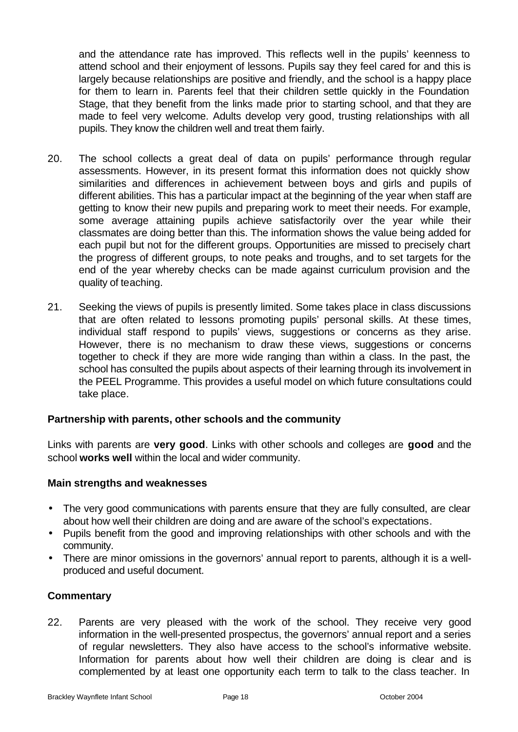and the attendance rate has improved. This reflects well in the pupils' keenness to attend school and their enjoyment of lessons. Pupils say they feel cared for and this is largely because relationships are positive and friendly, and the school is a happy place for them to learn in. Parents feel that their children settle quickly in the Foundation Stage, that they benefit from the links made prior to starting school, and that they are made to feel very welcome. Adults develop very good, trusting relationships with all pupils. They know the children well and treat them fairly.

- 20. The school collects a great deal of data on pupils' performance through regular assessments. However, in its present format this information does not quickly show similarities and differences in achievement between boys and girls and pupils of different abilities. This has a particular impact at the beginning of the year when staff are getting to know their new pupils and preparing work to meet their needs. For example, some average attaining pupils achieve satisfactorily over the year while their classmates are doing better than this. The information shows the value being added for each pupil but not for the different groups. Opportunities are missed to precisely chart the progress of different groups, to note peaks and troughs, and to set targets for the end of the year whereby checks can be made against curriculum provision and the quality of teaching.
- 21. Seeking the views of pupils is presently limited. Some takes place in class discussions that are often related to lessons promoting pupils' personal skills. At these times, individual staff respond to pupils' views, suggestions or concerns as they arise. However, there is no mechanism to draw these views, suggestions or concerns together to check if they are more wide ranging than within a class. In the past, the school has consulted the pupils about aspects of their learning through its involvement in the PEEL Programme. This provides a useful model on which future consultations could take place.

## **Partnership with parents, other schools and the community**

Links with parents are **very good**. Links with other schools and colleges are **good** and the school **works well** within the local and wider community.

#### **Main strengths and weaknesses**

- The very good communications with parents ensure that they are fully consulted, are clear about how well their children are doing and are aware of the school's expectations.
- Pupils benefit from the good and improving relationships with other schools and with the community.
- There are minor omissions in the governors' annual report to parents, although it is a wellproduced and useful document.

#### **Commentary**

22. Parents are very pleased with the work of the school. They receive very good information in the well-presented prospectus, the governors' annual report and a series of regular newsletters. They also have access to the school's informative website. Information for parents about how well their children are doing is clear and is complemented by at least one opportunity each term to talk to the class teacher. In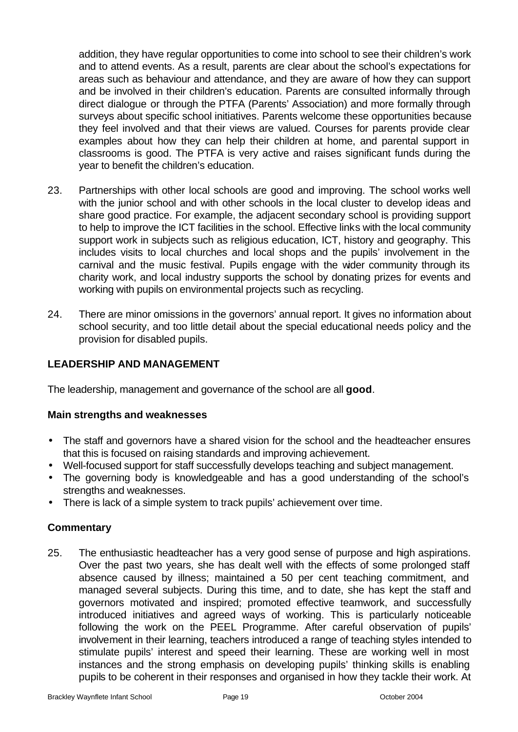addition, they have regular opportunities to come into school to see their children's work and to attend events. As a result, parents are clear about the school's expectations for areas such as behaviour and attendance, and they are aware of how they can support and be involved in their children's education. Parents are consulted informally through direct dialogue or through the PTFA (Parents' Association) and more formally through surveys about specific school initiatives. Parents welcome these opportunities because they feel involved and that their views are valued. Courses for parents provide clear examples about how they can help their children at home, and parental support in classrooms is good. The PTFA is very active and raises significant funds during the year to benefit the children's education.

- 23. Partnerships with other local schools are good and improving. The school works well with the junior school and with other schools in the local cluster to develop ideas and share good practice. For example, the adjacent secondary school is providing support to help to improve the ICT facilities in the school. Effective links with the local community support work in subjects such as religious education, ICT, history and geography. This includes visits to local churches and local shops and the pupils' involvement in the carnival and the music festival. Pupils engage with the wider community through its charity work, and local industry supports the school by donating prizes for events and working with pupils on environmental projects such as recycling.
- 24. There are minor omissions in the governors' annual report. It gives no information about school security, and too little detail about the special educational needs policy and the provision for disabled pupils.

## **LEADERSHIP AND MANAGEMENT**

The leadership, management and governance of the school are all **good**.

## **Main strengths and weaknesses**

- The staff and governors have a shared vision for the school and the headteacher ensures that this is focused on raising standards and improving achievement.
- Well-focused support for staff successfully develops teaching and subject management.
- The governing body is knowledgeable and has a good understanding of the school's strengths and weaknesses.
- There is lack of a simple system to track pupils' achievement over time.

## **Commentary**

25. The enthusiastic headteacher has a very good sense of purpose and high aspirations. Over the past two years, she has dealt well with the effects of some prolonged staff absence caused by illness; maintained a 50 per cent teaching commitment, and managed several subjects. During this time, and to date, she has kept the staff and governors motivated and inspired; promoted effective teamwork, and successfully introduced initiatives and agreed ways of working. This is particularly noticeable following the work on the PEEL Programme. After careful observation of pupils' involvement in their learning, teachers introduced a range of teaching styles intended to stimulate pupils' interest and speed their learning. These are working well in most instances and the strong emphasis on developing pupils' thinking skills is enabling pupils to be coherent in their responses and organised in how they tackle their work. At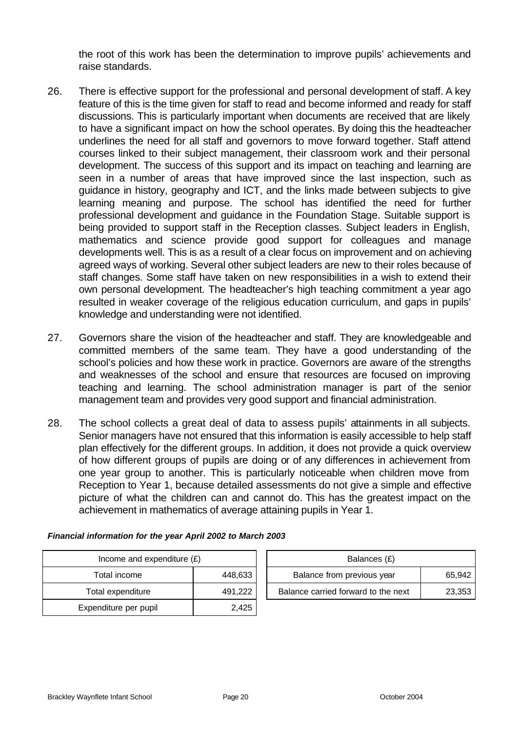the root of this work has been the determination to improve pupils' achievements and raise standards.

- 26. There is effective support for the professional and personal development of staff. A key feature of this is the time given for staff to read and become informed and ready for staff discussions. This is particularly important when documents are received that are likely to have a significant impact on how the school operates. By doing this the headteacher underlines the need for all staff and governors to move forward together. Staff attend courses linked to their subject management, their classroom work and their personal development. The success of this support and its impact on teaching and learning are seen in a number of areas that have improved since the last inspection, such as guidance in history, geography and ICT, and the links made between subjects to give learning meaning and purpose. The school has identified the need for further professional development and guidance in the Foundation Stage. Suitable support is being provided to support staff in the Reception classes. Subject leaders in English, mathematics and science provide good support for colleagues and manage developments well. This is as a result of a clear focus on improvement and on achieving agreed ways of working. Several other subject leaders are new to their roles because of staff changes. Some staff have taken on new responsibilities in a wish to extend their own personal development. The headteacher's high teaching commitment a year ago resulted in weaker coverage of the religious education curriculum, and gaps in pupils' knowledge and understanding were not identified.
- 27. Governors share the vision of the headteacher and staff. They are knowledgeable and committed members of the same team. They have a good understanding of the school's policies and how these work in practice. Governors are aware of the strengths and weaknesses of the school and ensure that resources are focused on improving teaching and learning. The school administration manager is part of the senior management team and provides very good support and financial administration.
- 28. The school collects a great deal of data to assess pupils' attainments in all subjects. Senior managers have not ensured that this information is easily accessible to help staff plan effectively for the different groups. In addition, it does not provide a quick overview of how different groups of pupils are doing or of any differences in achievement from one year group to another. This is particularly noticeable when children move from Reception to Year 1, because detailed assessments do not give a simple and effective picture of what the children can and cannot do. This has the greatest impact on the achievement in mathematics of average attaining pupils in Year 1.

| Income and expenditure $(E)$ |         | Balances (£)                        |        |
|------------------------------|---------|-------------------------------------|--------|
| Total income                 | 448,633 | Balance from previous year          | 65,942 |
| Total expenditure            | 491,222 | Balance carried forward to the next | 23,353 |
| Expenditure per pupil        | 2,425   |                                     |        |

*Financial information for the year April 2002 to March 2003*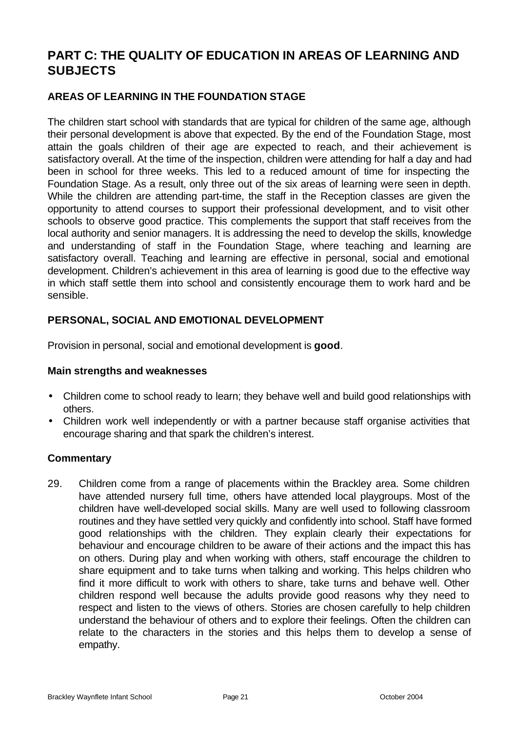# **PART C: THE QUALITY OF EDUCATION IN AREAS OF LEARNING AND SUBJECTS**

## **AREAS OF LEARNING IN THE FOUNDATION STAGE**

The children start school with standards that are typical for children of the same age, although their personal development is above that expected. By the end of the Foundation Stage, most attain the goals children of their age are expected to reach, and their achievement is satisfactory overall. At the time of the inspection, children were attending for half a day and had been in school for three weeks. This led to a reduced amount of time for inspecting the Foundation Stage. As a result, only three out of the six areas of learning were seen in depth. While the children are attending part-time, the staff in the Reception classes are given the opportunity to attend courses to support their professional development, and to visit other schools to observe good practice. This complements the support that staff receives from the local authority and senior managers. It is addressing the need to develop the skills, knowledge and understanding of staff in the Foundation Stage, where teaching and learning are satisfactory overall. Teaching and learning are effective in personal, social and emotional development. Children's achievement in this area of learning is good due to the effective way in which staff settle them into school and consistently encourage them to work hard and be sensible.

## **PERSONAL, SOCIAL AND EMOTIONAL DEVELOPMENT**

Provision in personal, social and emotional development is **good**.

## **Main strengths and weaknesses**

- Children come to school ready to learn; they behave well and build good relationships with others.
- Children work well independently or with a partner because staff organise activities that encourage sharing and that spark the children's interest.

## **Commentary**

29. Children come from a range of placements within the Brackley area. Some children have attended nursery full time, others have attended local playgroups. Most of the children have well-developed social skills. Many are well used to following classroom routines and they have settled very quickly and confidently into school. Staff have formed good relationships with the children. They explain clearly their expectations for behaviour and encourage children to be aware of their actions and the impact this has on others. During play and when working with others, staff encourage the children to share equipment and to take turns when talking and working. This helps children who find it more difficult to work with others to share, take turns and behave well. Other children respond well because the adults provide good reasons why they need to respect and listen to the views of others. Stories are chosen carefully to help children understand the behaviour of others and to explore their feelings. Often the children can relate to the characters in the stories and this helps them to develop a sense of empathy.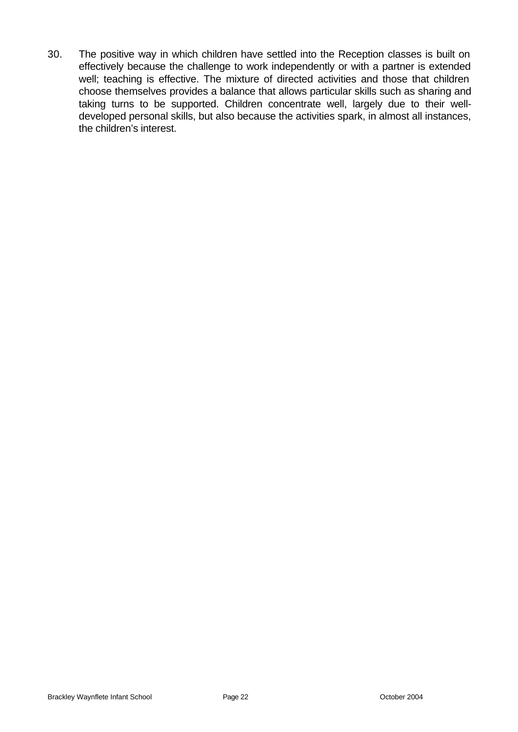30. The positive way in which children have settled into the Reception classes is built on effectively because the challenge to work independently or with a partner is extended well; teaching is effective. The mixture of directed activities and those that children choose themselves provides a balance that allows particular skills such as sharing and taking turns to be supported. Children concentrate well, largely due to their welldeveloped personal skills, but also because the activities spark, in almost all instances, the children's interest.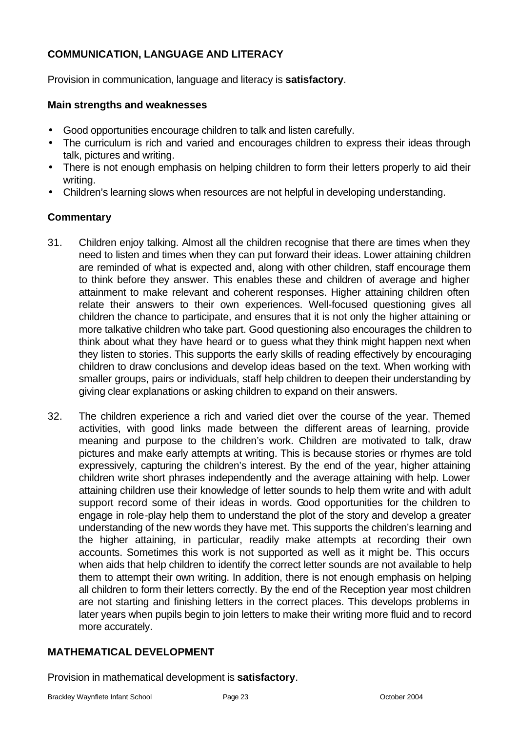## **COMMUNICATION, LANGUAGE AND LITERACY**

Provision in communication, language and literacy is **satisfactory**.

## **Main strengths and weaknesses**

- Good opportunities encourage children to talk and listen carefully.
- The curriculum is rich and varied and encourages children to express their ideas through talk, pictures and writing.
- There is not enough emphasis on helping children to form their letters properly to aid their writing.
- Children's learning slows when resources are not helpful in developing understanding.

## **Commentary**

- 31. Children enjoy talking. Almost all the children recognise that there are times when they need to listen and times when they can put forward their ideas. Lower attaining children are reminded of what is expected and, along with other children, staff encourage them to think before they answer. This enables these and children of average and higher attainment to make relevant and coherent responses. Higher attaining children often relate their answers to their own experiences. Well-focused questioning gives all children the chance to participate, and ensures that it is not only the higher attaining or more talkative children who take part. Good questioning also encourages the children to think about what they have heard or to guess what they think might happen next when they listen to stories. This supports the early skills of reading effectively by encouraging children to draw conclusions and develop ideas based on the text. When working with smaller groups, pairs or individuals, staff help children to deepen their understanding by giving clear explanations or asking children to expand on their answers.
- 32. The children experience a rich and varied diet over the course of the year. Themed activities, with good links made between the different areas of learning, provide meaning and purpose to the children's work. Children are motivated to talk, draw pictures and make early attempts at writing. This is because stories or rhymes are told expressively, capturing the children's interest. By the end of the year, higher attaining children write short phrases independently and the average attaining with help. Lower attaining children use their knowledge of letter sounds to help them write and with adult support record some of their ideas in words. Good opportunities for the children to engage in role-play help them to understand the plot of the story and develop a greater understanding of the new words they have met. This supports the children's learning and the higher attaining, in particular, readily make attempts at recording their own accounts. Sometimes this work is not supported as well as it might be. This occurs when aids that help children to identify the correct letter sounds are not available to help them to attempt their own writing. In addition, there is not enough emphasis on helping all children to form their letters correctly. By the end of the Reception year most children are not starting and finishing letters in the correct places. This develops problems in later years when pupils begin to join letters to make their writing more fluid and to record more accurately.

## **MATHEMATICAL DEVELOPMENT**

Provision in mathematical development is **satisfactory**.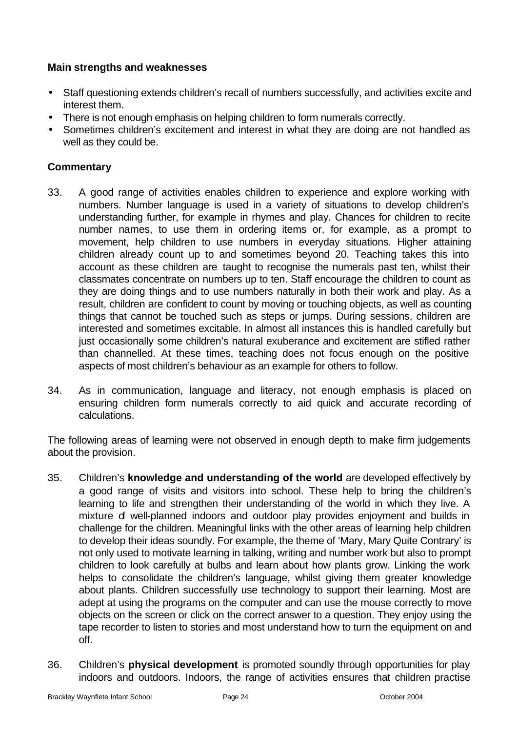## **Main strengths and weaknesses**

- Staff questioning extends children's recall of numbers successfully, and activities excite and interest them.
- There is not enough emphasis on helping children to form numerals correctly.
- Sometimes children's excitement and interest in what they are doing are not handled as well as they could be.

## **Commentary**

- 33. A good range of activities enables children to experience and explore working with numbers. Number language is used in a variety of situations to develop children's understanding further, for example in rhymes and play. Chances for children to recite number names, to use them in ordering items or, for example, as a prompt to movement, help children to use numbers in everyday situations. Higher attaining children already count up to and sometimes beyond 20. Teaching takes this into account as these children are taught to recognise the numerals past ten, whilst their classmates concentrate on numbers up to ten. Staff encourage the children to count as they are doing things and to use numbers naturally in both their work and play. As a result, children are confident to count by moving or touching objects, as well as counting things that cannot be touched such as steps or jumps. During sessions, children are interested and sometimes excitable. In almost all instances this is handled carefully but just occasionally some children's natural exuberance and excitement are stifled rather than channelled. At these times, teaching does not focus enough on the positive aspects of most children's behaviour as an example for others to follow.
- 34. As in communication, language and literacy, not enough emphasis is placed on ensuring children form numerals correctly to aid quick and accurate recording of calculations.

The following areas of learning were not observed in enough depth to make firm judgements about the provision.

- 35. Children's **knowledge and understanding of the world** are developed effectively by a good range of visits and visitors into school. These help to bring the children's learning to life and strengthen their understanding of the world in which they live. A mixture of well-planned indoors and outdoor-play provides enjoyment and builds in challenge for the children. Meaningful links with the other areas of learning help children to develop their ideas soundly. For example, the theme of 'Mary, Mary Quite Contrary' is not only used to motivate learning in talking, writing and number work but also to prompt children to look carefully at bulbs and learn about how plants grow. Linking the work helps to consolidate the children's language, whilst giving them greater knowledge about plants. Children successfully use technology to support their learning. Most are adept at using the programs on the computer and can use the mouse correctly to move objects on the screen or click on the correct answer to a question. They enjoy using the tape recorder to listen to stories and most understand how to turn the equipment on and off.
- 36. Children's **physical development** is promoted soundly through opportunities for play indoors and outdoors. Indoors, the range of activities ensures that children practise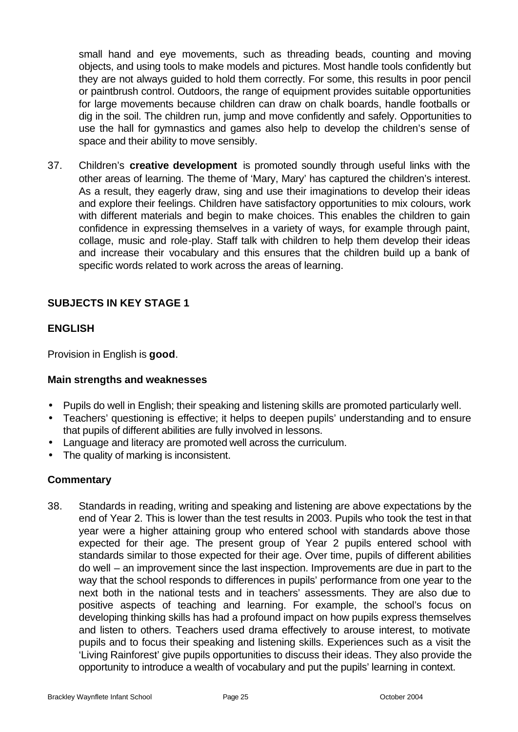small hand and eye movements, such as threading beads, counting and moving objects, and using tools to make models and pictures. Most handle tools confidently but they are not always guided to hold them correctly. For some, this results in poor pencil or paintbrush control. Outdoors, the range of equipment provides suitable opportunities for large movements because children can draw on chalk boards, handle footballs or dig in the soil. The children run, jump and move confidently and safely. Opportunities to use the hall for gymnastics and games also help to develop the children's sense of space and their ability to move sensibly.

37. Children's **creative development** is promoted soundly through useful links with the other areas of learning. The theme of 'Mary, Mary' has captured the children's interest. As a result, they eagerly draw, sing and use their imaginations to develop their ideas and explore their feelings. Children have satisfactory opportunities to mix colours, work with different materials and begin to make choices. This enables the children to gain confidence in expressing themselves in a variety of ways, for example through paint, collage, music and role-play. Staff talk with children to help them develop their ideas and increase their vocabulary and this ensures that the children build up a bank of specific words related to work across the areas of learning.

## **SUBJECTS IN KEY STAGE 1**

## **ENGLISH**

Provision in English is **good**.

## **Main strengths and weaknesses**

- Pupils do well in English; their speaking and listening skills are promoted particularly well.
- Teachers' questioning is effective; it helps to deepen pupils' understanding and to ensure that pupils of different abilities are fully involved in lessons.
- Language and literacy are promoted well across the curriculum.
- The quality of marking is inconsistent.

## **Commentary**

38. Standards in reading, writing and speaking and listening are above expectations by the end of Year 2. This is lower than the test results in 2003. Pupils who took the test in that year were a higher attaining group who entered school with standards above those expected for their age. The present group of Year 2 pupils entered school with standards similar to those expected for their age. Over time, pupils of different abilities do well – an improvement since the last inspection. Improvements are due in part to the way that the school responds to differences in pupils' performance from one year to the next both in the national tests and in teachers' assessments. They are also due to positive aspects of teaching and learning. For example, the school's focus on developing thinking skills has had a profound impact on how pupils express themselves and listen to others. Teachers used drama effectively to arouse interest, to motivate pupils and to focus their speaking and listening skills. Experiences such as a visit the 'Living Rainforest' give pupils opportunities to discuss their ideas. They also provide the opportunity to introduce a wealth of vocabulary and put the pupils' learning in context.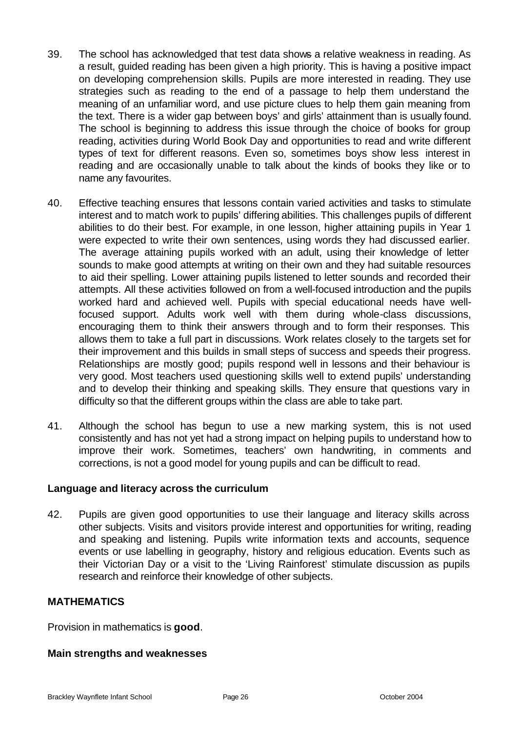- 39. The school has acknowledged that test data shows a relative weakness in reading. As a result, guided reading has been given a high priority. This is having a positive impact on developing comprehension skills. Pupils are more interested in reading. They use strategies such as reading to the end of a passage to help them understand the meaning of an unfamiliar word, and use picture clues to help them gain meaning from the text. There is a wider gap between boys' and girls' attainment than is usually found. The school is beginning to address this issue through the choice of books for group reading, activities during World Book Day and opportunities to read and write different types of text for different reasons. Even so, sometimes boys show less interest in reading and are occasionally unable to talk about the kinds of books they like or to name any favourites.
- 40. Effective teaching ensures that lessons contain varied activities and tasks to stimulate interest and to match work to pupils' differing abilities. This challenges pupils of different abilities to do their best. For example, in one lesson, higher attaining pupils in Year 1 were expected to write their own sentences, using words they had discussed earlier. The average attaining pupils worked with an adult, using their knowledge of letter sounds to make good attempts at writing on their own and they had suitable resources to aid their spelling. Lower attaining pupils listened to letter sounds and recorded their attempts. All these activities followed on from a well-focused introduction and the pupils worked hard and achieved well. Pupils with special educational needs have wellfocused support. Adults work well with them during whole-class discussions, encouraging them to think their answers through and to form their responses. This allows them to take a full part in discussions. Work relates closely to the targets set for their improvement and this builds in small steps of success and speeds their progress. Relationships are mostly good; pupils respond well in lessons and their behaviour is very good. Most teachers used questioning skills well to extend pupils' understanding and to develop their thinking and speaking skills. They ensure that questions vary in difficulty so that the different groups within the class are able to take part.
- 41. Although the school has begun to use a new marking system, this is not used consistently and has not yet had a strong impact on helping pupils to understand how to improve their work. Sometimes, teachers' own handwriting, in comments and corrections, is not a good model for young pupils and can be difficult to read.

## **Language and literacy across the curriculum**

42. Pupils are given good opportunities to use their language and literacy skills across other subjects. Visits and visitors provide interest and opportunities for writing, reading and speaking and listening. Pupils write information texts and accounts, sequence events or use labelling in geography, history and religious education. Events such as their Victorian Day or a visit to the 'Living Rainforest' stimulate discussion as pupils research and reinforce their knowledge of other subjects.

## **MATHEMATICS**

Provision in mathematics is **good**.

## **Main strengths and weaknesses**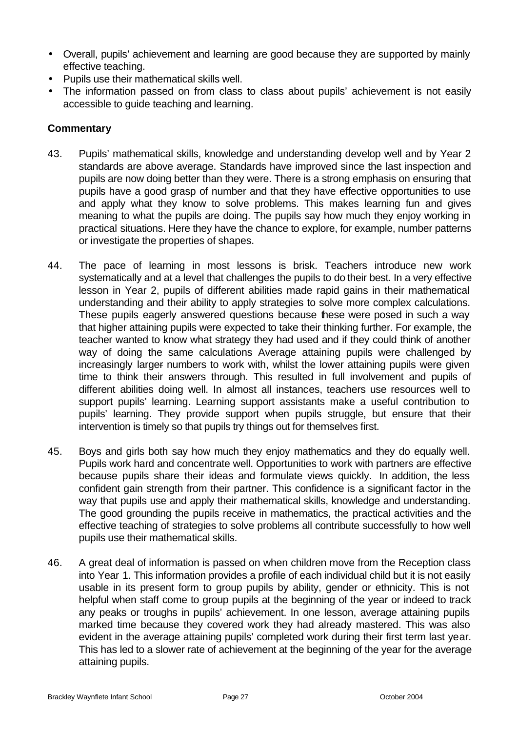- Overall, pupils' achievement and learning are good because they are supported by mainly effective teaching.
- Pupils use their mathematical skills well.
- The information passed on from class to class about pupils' achievement is not easily accessible to guide teaching and learning.

## **Commentary**

- 43. Pupils' mathematical skills, knowledge and understanding develop well and by Year 2 standards are above average. Standards have improved since the last inspection and pupils are now doing better than they were. There is a strong emphasis on ensuring that pupils have a good grasp of number and that they have effective opportunities to use and apply what they know to solve problems. This makes learning fun and gives meaning to what the pupils are doing. The pupils say how much they enjoy working in practical situations. Here they have the chance to explore, for example, number patterns or investigate the properties of shapes.
- 44. The pace of learning in most lessons is brisk. Teachers introduce new work systematically and at a level that challenges the pupils to do their best. In a very effective lesson in Year 2, pupils of different abilities made rapid gains in their mathematical understanding and their ability to apply strategies to solve more complex calculations. These pupils eagerly answered questions because these were posed in such a way that higher attaining pupils were expected to take their thinking further. For example, the teacher wanted to know what strategy they had used and if they could think of another way of doing the same calculations Average attaining pupils were challenged by increasingly larger numbers to work with, whilst the lower attaining pupils were given time to think their answers through. This resulted in full involvement and pupils of different abilities doing well. In almost all instances, teachers use resources well to support pupils' learning. Learning support assistants make a useful contribution to pupils' learning. They provide support when pupils struggle, but ensure that their intervention is timely so that pupils try things out for themselves first.
- 45. Boys and girls both say how much they enjoy mathematics and they do equally well. Pupils work hard and concentrate well. Opportunities to work with partners are effective because pupils share their ideas and formulate views quickly. In addition, the less confident gain strength from their partner. This confidence is a significant factor in the way that pupils use and apply their mathematical skills, knowledge and understanding. The good grounding the pupils receive in mathematics, the practical activities and the effective teaching of strategies to solve problems all contribute successfully to how well pupils use their mathematical skills.
- 46. A great deal of information is passed on when children move from the Reception class into Year 1. This information provides a profile of each individual child but it is not easily usable in its present form to group pupils by ability, gender or ethnicity. This is not helpful when staff come to group pupils at the beginning of the year or indeed to track any peaks or troughs in pupils' achievement. In one lesson, average attaining pupils marked time because they covered work they had already mastered. This was also evident in the average attaining pupils' completed work during their first term last year. This has led to a slower rate of achievement at the beginning of the year for the average attaining pupils.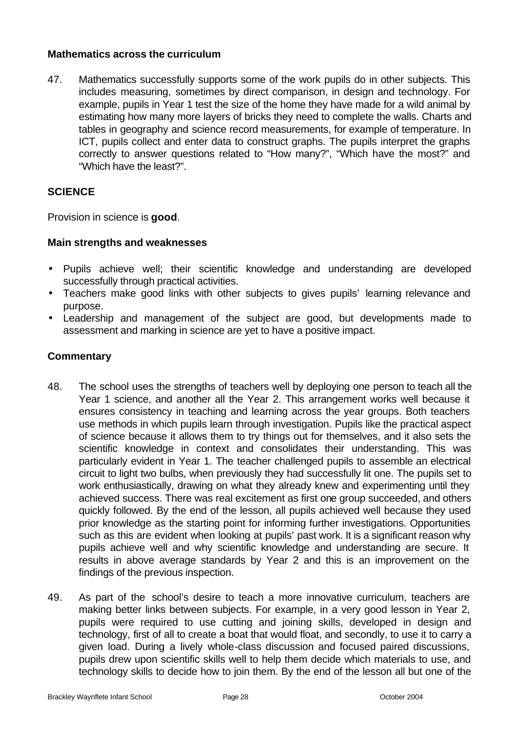## **Mathematics across the curriculum**

47. Mathematics successfully supports some of the work pupils do in other subjects. This includes measuring, sometimes by direct comparison, in design and technology. For example, pupils in Year 1 test the size of the home they have made for a wild animal by estimating how many more layers of bricks they need to complete the walls. Charts and tables in geography and science record measurements, for example of temperature. In ICT, pupils collect and enter data to construct graphs. The pupils interpret the graphs correctly to answer questions related to "How many?", "Which have the most?" and "Which have the least?".

## **SCIENCE**

Provision in science is **good**.

## **Main strengths and weaknesses**

- Pupils achieve well; their scientific knowledge and understanding are developed successfully through practical activities.
- Teachers make good links with other subjects to gives pupils' learning relevance and purpose.
- Leadership and management of the subject are good, but developments made to assessment and marking in science are yet to have a positive impact.

## **Commentary**

- 48. The school uses the strengths of teachers well by deploying one person to teach all the Year 1 science, and another all the Year 2. This arrangement works well because it ensures consistency in teaching and learning across the year groups. Both teachers use methods in which pupils learn through investigation. Pupils like the practical aspect of science because it allows them to try things out for themselves, and it also sets the scientific knowledge in context and consolidates their understanding. This was particularly evident in Year 1. The teacher challenged pupils to assemble an electrical circuit to light two bulbs, when previously they had successfully lit one. The pupils set to work enthusiastically, drawing on what they already knew and experimenting until they achieved success. There was real excitement as first one group succeeded, and others quickly followed. By the end of the lesson, all pupils achieved well because they used prior knowledge as the starting point for informing further investigations. Opportunities such as this are evident when looking at pupils' past work. It is a significant reason why pupils achieve well and why scientific knowledge and understanding are secure. It results in above average standards by Year 2 and this is an improvement on the findings of the previous inspection.
- 49. As part of the school's desire to teach a more innovative curriculum, teachers are making better links between subjects. For example, in a very good lesson in Year 2, pupils were required to use cutting and joining skills, developed in design and technology, first of all to create a boat that would float, and secondly, to use it to carry a given load. During a lively whole-class discussion and focused paired discussions, pupils drew upon scientific skills well to help them decide which materials to use, and technology skills to decide how to join them. By the end of the lesson all but one of the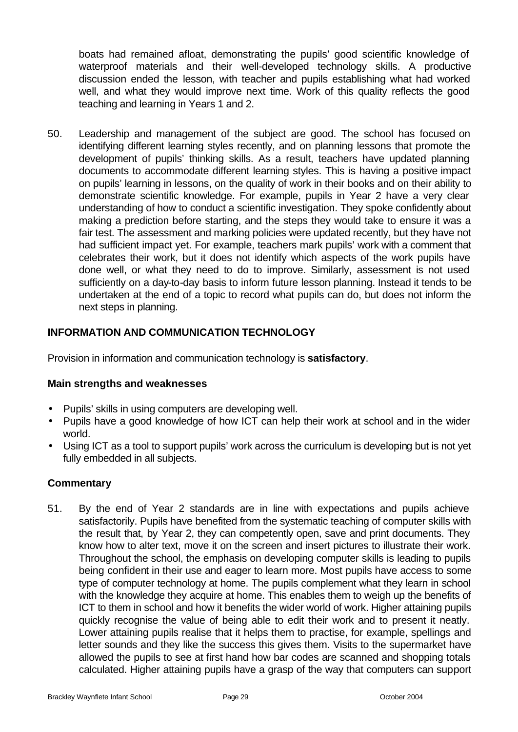boats had remained afloat, demonstrating the pupils' good scientific knowledge of waterproof materials and their well-developed technology skills. A productive discussion ended the lesson, with teacher and pupils establishing what had worked well, and what they would improve next time. Work of this quality reflects the good teaching and learning in Years 1 and 2.

50. Leadership and management of the subject are good. The school has focused on identifying different learning styles recently, and on planning lessons that promote the development of pupils' thinking skills. As a result, teachers have updated planning documents to accommodate different learning styles. This is having a positive impact on pupils' learning in lessons, on the quality of work in their books and on their ability to demonstrate scientific knowledge. For example, pupils in Year 2 have a very clear understanding of how to conduct a scientific investigation. They spoke confidently about making a prediction before starting, and the steps they would take to ensure it was a fair test. The assessment and marking policies were updated recently, but they have not had sufficient impact yet. For example, teachers mark pupils' work with a comment that celebrates their work, but it does not identify which aspects of the work pupils have done well, or what they need to do to improve. Similarly, assessment is not used sufficiently on a day-to-day basis to inform future lesson planning. Instead it tends to be undertaken at the end of a topic to record what pupils can do, but does not inform the next steps in planning.

## **INFORMATION AND COMMUNICATION TECHNOLOGY**

Provision in information and communication technology is **satisfactory**.

## **Main strengths and weaknesses**

- Pupils' skills in using computers are developing well.
- Pupils have a good knowledge of how ICT can help their work at school and in the wider world.
- Using ICT as a tool to support pupils' work across the curriculum is developing but is not yet fully embedded in all subjects.

## **Commentary**

51. By the end of Year 2 standards are in line with expectations and pupils achieve satisfactorily. Pupils have benefited from the systematic teaching of computer skills with the result that, by Year 2, they can competently open, save and print documents. They know how to alter text, move it on the screen and insert pictures to illustrate their work. Throughout the school, the emphasis on developing computer skills is leading to pupils being confident in their use and eager to learn more. Most pupils have access to some type of computer technology at home. The pupils complement what they learn in school with the knowledge they acquire at home. This enables them to weigh up the benefits of ICT to them in school and how it benefits the wider world of work. Higher attaining pupils quickly recognise the value of being able to edit their work and to present it neatly. Lower attaining pupils realise that it helps them to practise, for example, spellings and letter sounds and they like the success this gives them. Visits to the supermarket have allowed the pupils to see at first hand how bar codes are scanned and shopping totals calculated. Higher attaining pupils have a grasp of the way that computers can support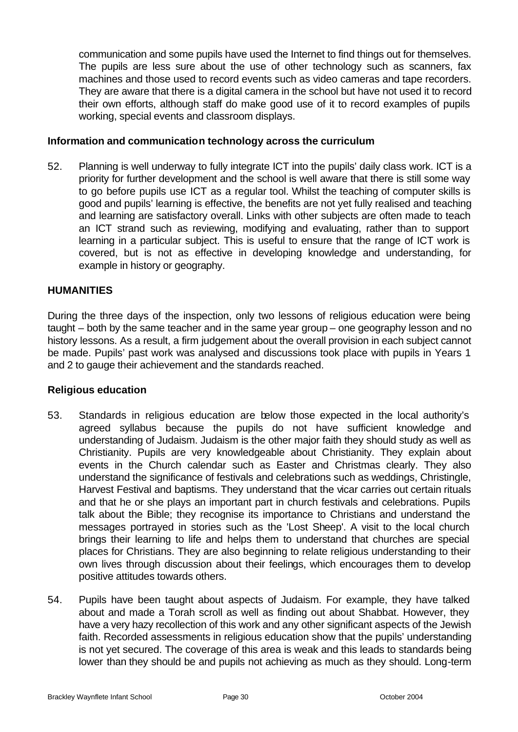communication and some pupils have used the Internet to find things out for themselves. The pupils are less sure about the use of other technology such as scanners, fax machines and those used to record events such as video cameras and tape recorders. They are aware that there is a digital camera in the school but have not used it to record their own efforts, although staff do make good use of it to record examples of pupils working, special events and classroom displays.

#### **Information and communication technology across the curriculum**

52. Planning is well underway to fully integrate ICT into the pupils' daily class work. ICT is a priority for further development and the school is well aware that there is still some way to go before pupils use ICT as a regular tool. Whilst the teaching of computer skills is good and pupils' learning is effective, the benefits are not yet fully realised and teaching and learning are satisfactory overall. Links with other subjects are often made to teach an ICT strand such as reviewing, modifying and evaluating, rather than to support learning in a particular subject. This is useful to ensure that the range of ICT work is covered, but is not as effective in developing knowledge and understanding, for example in history or geography.

#### **HUMANITIES**

During the three days of the inspection, only two lessons of religious education were being taught – both by the same teacher and in the same year group – one geography lesson and no history lessons. As a result, a firm judgement about the overall provision in each subject cannot be made. Pupils' past work was analysed and discussions took place with pupils in Years 1 and 2 to gauge their achievement and the standards reached.

#### **Religious education**

- 53. Standards in religious education are below those expected in the local authority's agreed syllabus because the pupils do not have sufficient knowledge and understanding of Judaism. Judaism is the other major faith they should study as well as Christianity. Pupils are very knowledgeable about Christianity. They explain about events in the Church calendar such as Easter and Christmas clearly. They also understand the significance of festivals and celebrations such as weddings, Christingle, Harvest Festival and baptisms. They understand that the vicar carries out certain rituals and that he or she plays an important part in church festivals and celebrations. Pupils talk about the Bible; they recognise its importance to Christians and understand the messages portrayed in stories such as the 'Lost Sheep'. A visit to the local church brings their learning to life and helps them to understand that churches are special places for Christians. They are also beginning to relate religious understanding to their own lives through discussion about their feelings, which encourages them to develop positive attitudes towards others.
- 54. Pupils have been taught about aspects of Judaism. For example, they have talked about and made a Torah scroll as well as finding out about Shabbat. However, they have a very hazy recollection of this work and any other significant aspects of the Jewish faith. Recorded assessments in religious education show that the pupils' understanding is not yet secured. The coverage of this area is weak and this leads to standards being lower than they should be and pupils not achieving as much as they should. Long-term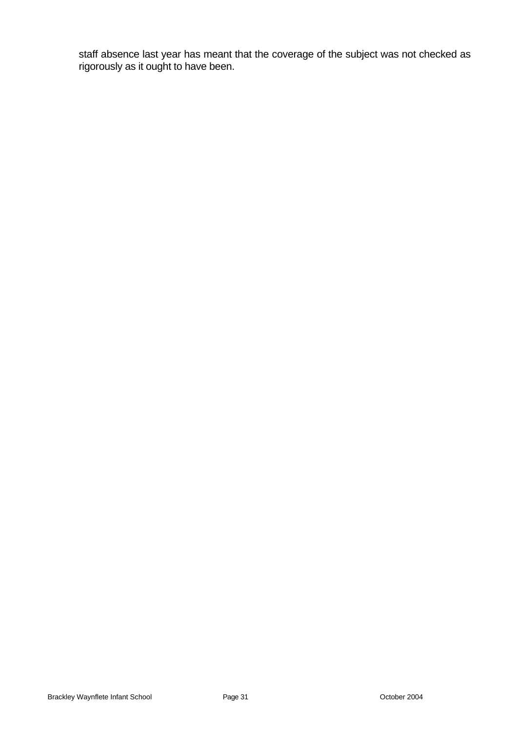staff absence last year has meant that the coverage of the subject was not checked as rigorously as it ought to have been.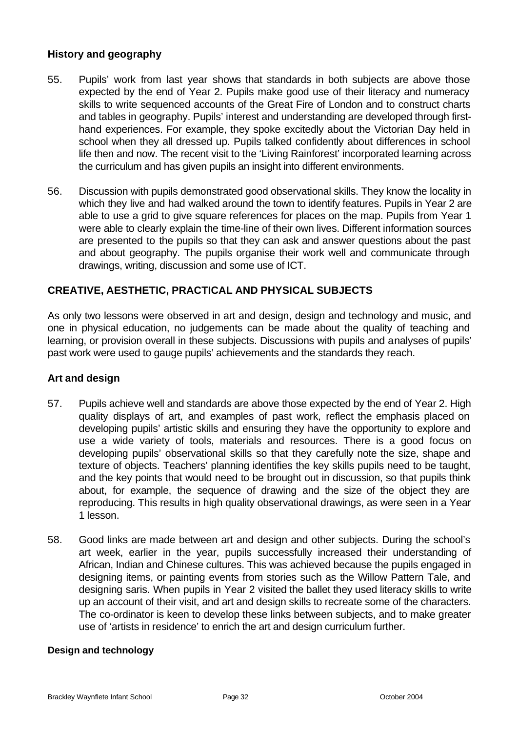## **History and geography**

- 55. Pupils' work from last year shows that standards in both subjects are above those expected by the end of Year 2. Pupils make good use of their literacy and numeracy skills to write sequenced accounts of the Great Fire of London and to construct charts and tables in geography. Pupils' interest and understanding are developed through firsthand experiences. For example, they spoke excitedly about the Victorian Day held in school when they all dressed up. Pupils talked confidently about differences in school life then and now. The recent visit to the 'Living Rainforest' incorporated learning across the curriculum and has given pupils an insight into different environments.
- 56. Discussion with pupils demonstrated good observational skills. They know the locality in which they live and had walked around the town to identify features. Pupils in Year 2 are able to use a grid to give square references for places on the map. Pupils from Year 1 were able to clearly explain the time-line of their own lives. Different information sources are presented to the pupils so that they can ask and answer questions about the past and about geography. The pupils organise their work well and communicate through drawings, writing, discussion and some use of ICT.

## **CREATIVE, AESTHETIC, PRACTICAL AND PHYSICAL SUBJECTS**

As only two lessons were observed in art and design, design and technology and music, and one in physical education, no judgements can be made about the quality of teaching and learning, or provision overall in these subjects. Discussions with pupils and analyses of pupils' past work were used to gauge pupils' achievements and the standards they reach.

## **Art and design**

- 57. Pupils achieve well and standards are above those expected by the end of Year 2. High quality displays of art, and examples of past work, reflect the emphasis placed on developing pupils' artistic skills and ensuring they have the opportunity to explore and use a wide variety of tools, materials and resources. There is a good focus on developing pupils' observational skills so that they carefully note the size, shape and texture of objects. Teachers' planning identifies the key skills pupils need to be taught, and the key points that would need to be brought out in discussion, so that pupils think about, for example, the sequence of drawing and the size of the object they are reproducing. This results in high quality observational drawings, as were seen in a Year 1 lesson.
- 58. Good links are made between art and design and other subjects. During the school's art week, earlier in the year, pupils successfully increased their understanding of African, Indian and Chinese cultures. This was achieved because the pupils engaged in designing items, or painting events from stories such as the Willow Pattern Tale, and designing saris. When pupils in Year 2 visited the ballet they used literacy skills to write up an account of their visit, and art and design skills to recreate some of the characters. The co-ordinator is keen to develop these links between subjects, and to make greater use of 'artists in residence' to enrich the art and design curriculum further.

## **Design and technology**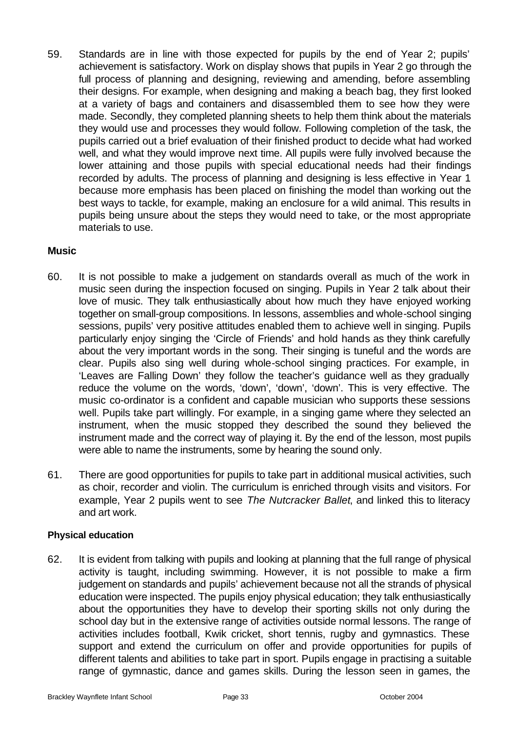59. Standards are in line with those expected for pupils by the end of Year 2; pupils' achievement is satisfactory. Work on display shows that pupils in Year 2 go through the full process of planning and designing, reviewing and amending, before assembling their designs. For example, when designing and making a beach bag, they first looked at a variety of bags and containers and disassembled them to see how they were made. Secondly, they completed planning sheets to help them think about the materials they would use and processes they would follow. Following completion of the task, the pupils carried out a brief evaluation of their finished product to decide what had worked well, and what they would improve next time. All pupils were fully involved because the lower attaining and those pupils with special educational needs had their findings recorded by adults. The process of planning and designing is less effective in Year 1 because more emphasis has been placed on finishing the model than working out the best ways to tackle, for example, making an enclosure for a wild animal. This results in pupils being unsure about the steps they would need to take, or the most appropriate materials to use.

## **Music**

- 60. It is not possible to make a judgement on standards overall as much of the work in music seen during the inspection focused on singing. Pupils in Year 2 talk about their love of music. They talk enthusiastically about how much they have enjoyed working together on small-group compositions. In lessons, assemblies and whole-school singing sessions, pupils' very positive attitudes enabled them to achieve well in singing. Pupils particularly enjoy singing the 'Circle of Friends' and hold hands as they think carefully about the very important words in the song. Their singing is tuneful and the words are clear. Pupils also sing well during whole-school singing practices. For example, in 'Leaves are Falling Down' they follow the teacher's guidance well as they gradually reduce the volume on the words, 'down', 'down', 'down'. This is very effective. The music co-ordinator is a confident and capable musician who supports these sessions well. Pupils take part willingly. For example, in a singing game where they selected an instrument, when the music stopped they described the sound they believed the instrument made and the correct way of playing it. By the end of the lesson, most pupils were able to name the instruments, some by hearing the sound only.
- 61. There are good opportunities for pupils to take part in additional musical activities, such as choir, recorder and violin. The curriculum is enriched through visits and visitors. For example, Year 2 pupils went to see *The Nutcracker Ballet*, and linked this to literacy and art work.

## **Physical education**

62. It is evident from talking with pupils and looking at planning that the full range of physical activity is taught, including swimming. However, it is not possible to make a firm judgement on standards and pupils' achievement because not all the strands of physical education were inspected. The pupils enjoy physical education; they talk enthusiastically about the opportunities they have to develop their sporting skills not only during the school day but in the extensive range of activities outside normal lessons. The range of activities includes football, Kwik cricket, short tennis, rugby and gymnastics. These support and extend the curriculum on offer and provide opportunities for pupils of different talents and abilities to take part in sport. Pupils engage in practising a suitable range of gymnastic, dance and games skills. During the lesson seen in games, the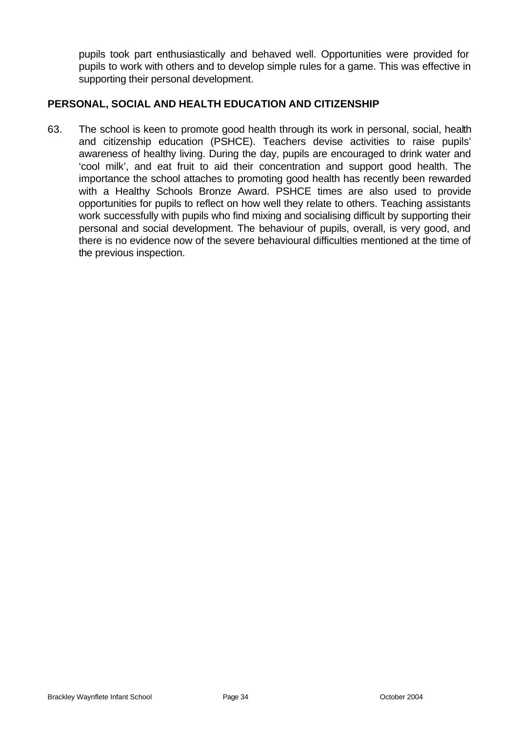pupils took part enthusiastically and behaved well. Opportunities were provided for pupils to work with others and to develop simple rules for a game. This was effective in supporting their personal development.

## **PERSONAL, SOCIAL AND HEALTH EDUCATION AND CITIZENSHIP**

63. The school is keen to promote good health through its work in personal, social, health and citizenship education (PSHCE). Teachers devise activities to raise pupils' awareness of healthy living. During the day, pupils are encouraged to drink water and 'cool milk', and eat fruit to aid their concentration and support good health. The importance the school attaches to promoting good health has recently been rewarded with a Healthy Schools Bronze Award. PSHCE times are also used to provide opportunities for pupils to reflect on how well they relate to others. Teaching assistants work successfully with pupils who find mixing and socialising difficult by supporting their personal and social development. The behaviour of pupils, overall, is very good, and there is no evidence now of the severe behavioural difficulties mentioned at the time of the previous inspection.